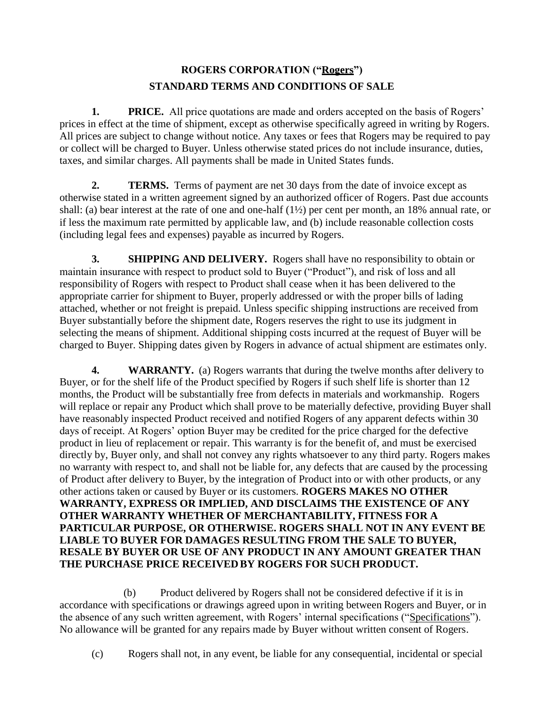## **ROGERS CORPORATION ("Rogers") STANDARD TERMS AND CONDITIONS OF SALE**

**1. PRICE.** All price quotations are made and orders accepted on the basis of Rogers' prices in effect at the time of shipment, except as otherwise specifically agreed in writing by Rogers. All prices are subject to change without notice. Any taxes or fees that Rogers may be required to pay or collect will be charged to Buyer. Unless otherwise stated prices do not include insurance, duties, taxes, and similar charges. All payments shall be made in United States funds.

**2. TERMS.** Terms of payment are net 30 days from the date of invoice except as otherwise stated in a written agreement signed by an authorized officer of Rogers. Past due accounts shall: (a) bear interest at the rate of one and one-half (1½) per cent per month, an 18% annual rate, or if less the maximum rate permitted by applicable law, and (b) include reasonable collection costs (including legal fees and expenses) payable as incurred by Rogers.

**3. SHIPPING AND DELIVERY.** Rogers shall have no responsibility to obtain or maintain insurance with respect to product sold to Buyer ("Product"), and risk of loss and all responsibility of Rogers with respect to Product shall cease when it has been delivered to the appropriate carrier for shipment to Buyer, properly addressed or with the proper bills of lading attached, whether or not freight is prepaid. Unless specific shipping instructions are received from Buyer substantially before the shipment date, Rogers reserves the right to use its judgment in selecting the means of shipment. Additional shipping costs incurred at the request of Buyer will be charged to Buyer. Shipping dates given by Rogers in advance of actual shipment are estimates only.

**4. WARRANTY.** (a) Rogers warrants that during the twelve months after delivery to Buyer, or for the shelf life of the Product specified by Rogers if such shelf life is shorter than 12 months, the Product will be substantially free from defects in materials and workmanship. Rogers will replace or repair any Product which shall prove to be materially defective, providing Buyer shall have reasonably inspected Product received and notified Rogers of any apparent defects within 30 days of receipt. At Rogers' option Buyer may be credited for the price charged for the defective product in lieu of replacement or repair. This warranty is for the benefit of, and must be exercised directly by, Buyer only, and shall not convey any rights whatsoever to any third party. Rogers makes no warranty with respect to, and shall not be liable for, any defects that are caused by the processing of Product after delivery to Buyer, by the integration of Product into or with other products, or any other actions taken or caused by Buyer or its customers. **ROGERS MAKES NO OTHER WARRANTY, EXPRESS OR IMPLIED, AND DISCLAIMS THE EXISTENCE OF ANY OTHER WARRANTY WHETHER OF MERCHANTABILITY, FITNESS FOR A PARTICULAR PURPOSE, OR OTHERWISE. ROGERS SHALL NOT IN ANY EVENT BE LIABLE TO BUYER FOR DAMAGES RESULTING FROM THE SALE TO BUYER, RESALE BY BUYER OR USE OF ANY PRODUCT IN ANY AMOUNT GREATER THAN THE PURCHASE PRICE RECEIVEDBY ROGERS FOR SUCH PRODUCT.**

(b) Product delivered by Rogers shall not be considered defective if it is in accordance with specifications or drawings agreed upon in writing between Rogers and Buyer, or in the absence of any such written agreement, with Rogers' internal specifications ("Specifications"). No allowance will be granted for any repairs made by Buyer without written consent of Rogers.

(c) Rogers shall not, in any event, be liable for any consequential, incidental or special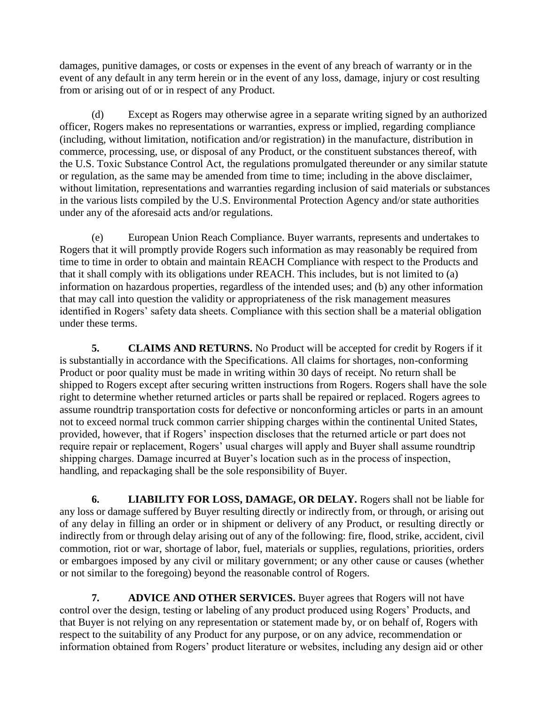damages, punitive damages, or costs or expenses in the event of any breach of warranty or in the event of any default in any term herein or in the event of any loss, damage, injury or cost resulting from or arising out of or in respect of any Product.

(d) Except as Rogers may otherwise agree in a separate writing signed by an authorized officer, Rogers makes no representations or warranties, express or implied, regarding compliance (including, without limitation, notification and/or registration) in the manufacture, distribution in commerce, processing, use, or disposal of any Product, or the constituent substances thereof, with the U.S. Toxic Substance Control Act, the regulations promulgated thereunder or any similar statute or regulation, as the same may be amended from time to time; including in the above disclaimer, without limitation, representations and warranties regarding inclusion of said materials or substances in the various lists compiled by the U.S. Environmental Protection Agency and/or state authorities under any of the aforesaid acts and/or regulations.

(e) European Union Reach Compliance. Buyer warrants, represents and undertakes to Rogers that it will promptly provide Rogers such information as may reasonably be required from time to time in order to obtain and maintain REACH Compliance with respect to the Products and that it shall comply with its obligations under REACH. This includes, but is not limited to (a) information on hazardous properties, regardless of the intended uses; and (b) any other information that may call into question the validity or appropriateness of the risk management measures identified in Rogers' safety data sheets. Compliance with this section shall be a material obligation under these terms.

**5. CLAIMS AND RETURNS.** No Product will be accepted for credit by Rogers if it is substantially in accordance with the Specifications. All claims for shortages, non-conforming Product or poor quality must be made in writing within 30 days of receipt. No return shall be shipped to Rogers except after securing written instructions from Rogers. Rogers shall have the sole right to determine whether returned articles or parts shall be repaired or replaced. Rogers agrees to assume roundtrip transportation costs for defective or nonconforming articles or parts in an amount not to exceed normal truck common carrier shipping charges within the continental United States, provided, however, that if Rogers' inspection discloses that the returned article or part does not require repair or replacement, Rogers' usual charges will apply and Buyer shall assume roundtrip shipping charges. Damage incurred at Buyer's location such as in the process of inspection, handling, and repackaging shall be the sole responsibility of Buyer.

**6. LIABILITY FOR LOSS, DAMAGE, OR DELAY.** Rogers shall not be liable for any loss or damage suffered by Buyer resulting directly or indirectly from, or through, or arising out of any delay in filling an order or in shipment or delivery of any Product, or resulting directly or indirectly from or through delay arising out of any of the following: fire, flood, strike, accident, civil commotion, riot or war, shortage of labor, fuel, materials or supplies, regulations, priorities, orders or embargoes imposed by any civil or military government; or any other cause or causes (whether or not similar to the foregoing) beyond the reasonable control of Rogers.

**7. ADVICE AND OTHER SERVICES.** Buyer agrees that Rogers will not have control over the design, testing or labeling of any product produced using Rogers' Products, and that Buyer is not relying on any representation or statement made by, or on behalf of, Rogers with respect to the suitability of any Product for any purpose, or on any advice, recommendation or information obtained from Rogers' product literature or websites, including any design aid or other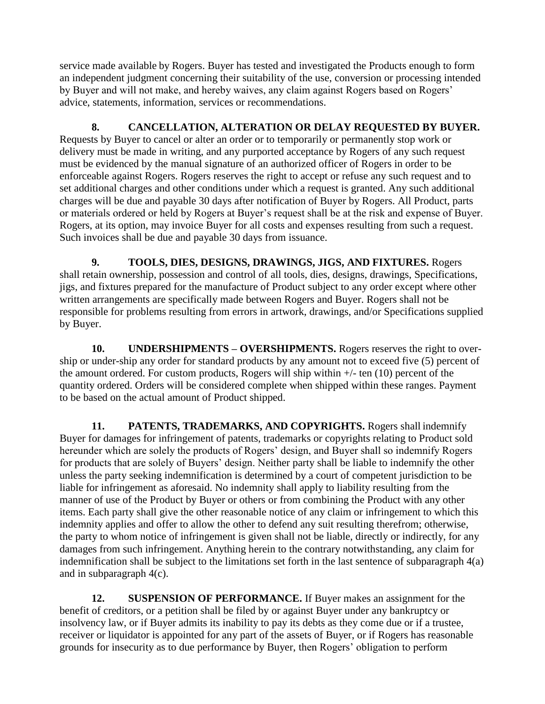service made available by Rogers. Buyer has tested and investigated the Products enough to form an independent judgment concerning their suitability of the use, conversion or processing intended by Buyer and will not make, and hereby waives, any claim against Rogers based on Rogers' advice, statements, information, services or recommendations.

**8. CANCELLATION, ALTERATION OR DELAY REQUESTED BY BUYER.**  Requests by Buyer to cancel or alter an order or to temporarily or permanently stop work or delivery must be made in writing, and any purported acceptance by Rogers of any such request must be evidenced by the manual signature of an authorized officer of Rogers in order to be enforceable against Rogers. Rogers reserves the right to accept or refuse any such request and to set additional charges and other conditions under which a request is granted. Any such additional charges will be due and payable 30 days after notification of Buyer by Rogers. All Product, parts or materials ordered or held by Rogers at Buyer's request shall be at the risk and expense of Buyer. Rogers, at its option, may invoice Buyer for all costs and expenses resulting from such a request. Such invoices shall be due and payable 30 days from issuance.

**9. TOOLS, DIES, DESIGNS, DRAWINGS, JIGS, AND FIXTURES.** Rogers shall retain ownership, possession and control of all tools, dies, designs, drawings, Specifications, jigs, and fixtures prepared for the manufacture of Product subject to any order except where other written arrangements are specifically made between Rogers and Buyer. Rogers shall not be responsible for problems resulting from errors in artwork, drawings, and/or Specifications supplied by Buyer.

**10. UNDERSHIPMENTS – OVERSHIPMENTS.** Rogers reserves the right to overship or under-ship any order for standard products by any amount not to exceed five (5) percent of the amount ordered. For custom products, Rogers will ship within  $+/-$  ten (10) percent of the quantity ordered. Orders will be considered complete when shipped within these ranges. Payment to be based on the actual amount of Product shipped.

**11. PATENTS, TRADEMARKS, AND COPYRIGHTS.** Rogers shall indemnify Buyer for damages for infringement of patents, trademarks or copyrights relating to Product sold hereunder which are solely the products of Rogers' design, and Buyer shall so indemnify Rogers for products that are solely of Buyers' design. Neither party shall be liable to indemnify the other unless the party seeking indemnification is determined by a court of competent jurisdiction to be liable for infringement as aforesaid. No indemnity shall apply to liability resulting from the manner of use of the Product by Buyer or others or from combining the Product with any other items. Each party shall give the other reasonable notice of any claim or infringement to which this indemnity applies and offer to allow the other to defend any suit resulting therefrom; otherwise, the party to whom notice of infringement is given shall not be liable, directly or indirectly, for any damages from such infringement. Anything herein to the contrary notwithstanding, any claim for indemnification shall be subject to the limitations set forth in the last sentence of subparagraph 4(a) and in subparagraph 4(c).

**12. SUSPENSION OF PERFORMANCE.** If Buyer makes an assignment for the benefit of creditors, or a petition shall be filed by or against Buyer under any bankruptcy or insolvency law, or if Buyer admits its inability to pay its debts as they come due or if a trustee, receiver or liquidator is appointed for any part of the assets of Buyer, or if Rogers has reasonable grounds for insecurity as to due performance by Buyer, then Rogers' obligation to perform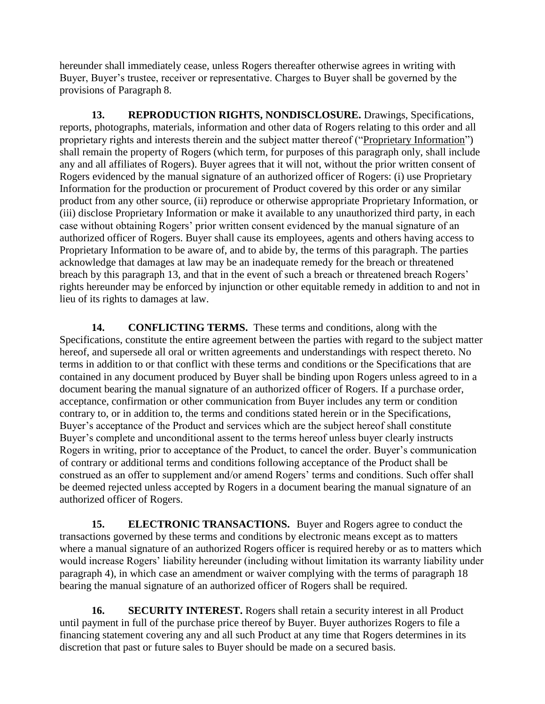hereunder shall immediately cease, unless Rogers thereafter otherwise agrees in writing with Buyer, Buyer's trustee, receiver or representative. Charges to Buyer shall be governed by the provisions of Paragraph 8.

**13. REPRODUCTION RIGHTS, NONDISCLOSURE.** Drawings, Specifications, reports, photographs, materials, information and other data of Rogers relating to this order and all proprietary rights and interests therein and the subject matter thereof ("Proprietary Information") shall remain the property of Rogers (which term, for purposes of this paragraph only, shall include any and all affiliates of Rogers). Buyer agrees that it will not, without the prior written consent of Rogers evidenced by the manual signature of an authorized officer of Rogers: (i) use Proprietary Information for the production or procurement of Product covered by this order or any similar product from any other source, (ii) reproduce or otherwise appropriate Proprietary Information, or (iii) disclose Proprietary Information or make it available to any unauthorized third party, in each case without obtaining Rogers' prior written consent evidenced by the manual signature of an authorized officer of Rogers. Buyer shall cause its employees, agents and others having access to Proprietary Information to be aware of, and to abide by, the terms of this paragraph. The parties acknowledge that damages at law may be an inadequate remedy for the breach or threatened breach by this paragraph 13, and that in the event of such a breach or threatened breach Rogers' rights hereunder may be enforced by injunction or other equitable remedy in addition to and not in lieu of its rights to damages at law.

**14. CONFLICTING TERMS.** These terms and conditions, along with the Specifications, constitute the entire agreement between the parties with regard to the subject matter hereof, and supersede all oral or written agreements and understandings with respect thereto. No terms in addition to or that conflict with these terms and conditions or the Specifications that are contained in any document produced by Buyer shall be binding upon Rogers unless agreed to in a document bearing the manual signature of an authorized officer of Rogers. If a purchase order, acceptance, confirmation or other communication from Buyer includes any term or condition contrary to, or in addition to, the terms and conditions stated herein or in the Specifications, Buyer's acceptance of the Product and services which are the subject hereof shall constitute Buyer's complete and unconditional assent to the terms hereof unless buyer clearly instructs Rogers in writing, prior to acceptance of the Product, to cancel the order. Buyer's communication of contrary or additional terms and conditions following acceptance of the Product shall be construed as an offer to supplement and/or amend Rogers' terms and conditions. Such offer shall be deemed rejected unless accepted by Rogers in a document bearing the manual signature of an authorized officer of Rogers.

**15. ELECTRONIC TRANSACTIONS.** Buyer and Rogers agree to conduct the transactions governed by these terms and conditions by electronic means except as to matters where a manual signature of an authorized Rogers officer is required hereby or as to matters which would increase Rogers' liability hereunder (including without limitation its warranty liability under paragraph 4), in which case an amendment or waiver complying with the terms of paragraph 18 bearing the manual signature of an authorized officer of Rogers shall be required.

**16. SECURITY INTEREST.** Rogers shall retain a security interest in all Product until payment in full of the purchase price thereof by Buyer. Buyer authorizes Rogers to file a financing statement covering any and all such Product at any time that Rogers determines in its discretion that past or future sales to Buyer should be made on a secured basis.